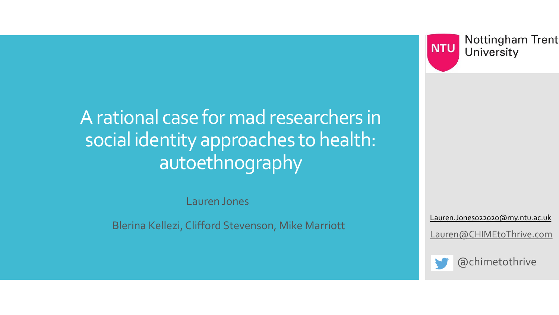**Nottingham Trent NTU** University

A rational case for mad researchers in social identity approaches to health: autoethnography

Lauren Jones

Blerina Kellezi, Clifford Stevenson, Mike Marriott

[Lauren.Jones022020@my.ntu.ac.uk](mailto:N0958878@my.ntu.ac.uk) [Lauren@CHIMEtoThrive.com](mailto:Lauren@chimetothrive.com)



@chimetothrive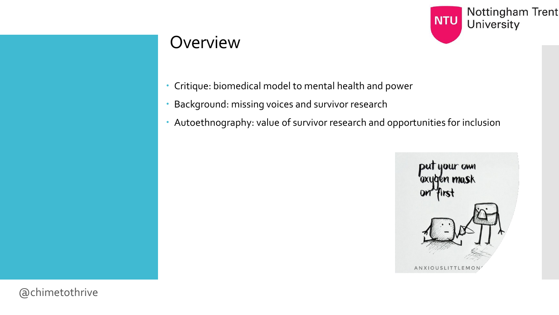

#### **Overview**

- Critique: biomedical model to mental health and power
- Background: missing voices and survivor research
- Autoethnography: value of survivor research and opportunities for inclusion



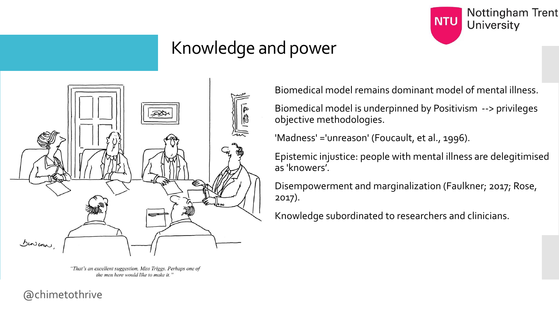

### Knowledge and power



"That's an excellent suggestion, Miss Triggs. Perhaps one of the men here would like to make it."

Biomedical model remains dominant model of mental illness.

Biomedical model is underpinned by Positivism --> privileges objective methodologies.

'Madness' ='unreason' (Foucault, et al., 1996).

Epistemic injustice: people with mental illness are delegitimised as 'knowers'.

Disempowerment and marginalization (Faulkner; 2017; Rose, 2017).

Knowledge subordinated to researchers and clinicians.

@chimetothrive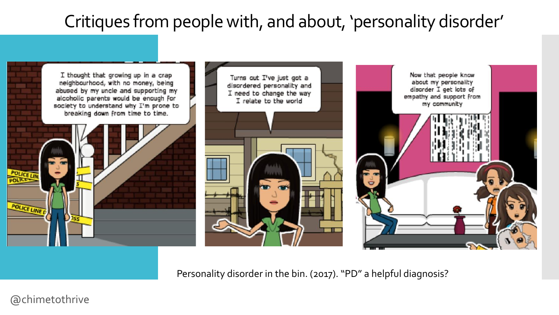### Critiques from people with, and about, 'personality disorder'



Personality disorder in the bin. (2017). "PD" a helpful diagnosis?

@chimetothrive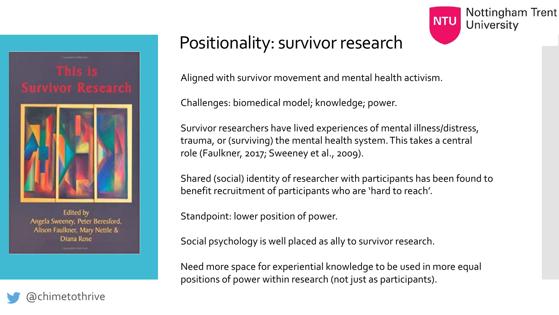

**Edited by** Angela Sweeney, Peter Beresford, Alison Faulkner, Mary Nettle & Diana Rose

### Positionality: survivor research



Aligned with survivor movement and mental health activism.

Challenges: biomedical model; knowledge; power.

Survivor researchers have lived experiences of mental illness/distress, trauma, or (surviving) the mental health system. This takes a central role (Faulkner, 2017; Sweeney et al., 2009).

Shared (social) identity of researcher with participants has been found to benefit recruitment of participants who are 'hard to reach'.

Standpoint: lower position of power.

Social psychology is well placed as ally to survivor research.

Need more space for experiential knowledge to be used in more equal positions of power within research (not just as participants).

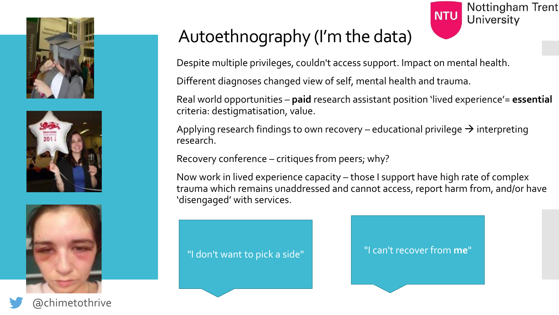





@chimetothrive

# Autoethnography (I'm the data)



Despite multiple privileges, couldn't access support. Impact on mental health.

Different diagnoses changed view of self, mental health and trauma.

Real world opportunities – **paid** research assistant position 'lived experience'= **essential** criteria: destigmatisation, value.

Applying research findings to own recovery – educational privilege  $\rightarrow$  interpreting research.

Recovery conference – critiques from peers; why?

Now work in lived experience capacity – those I support have high rate of complex trauma which remains unaddressed and cannot access, report harm from, and/or have 'disengaged' with services.

"I don't want to pick a side" "I can't recover from **me**"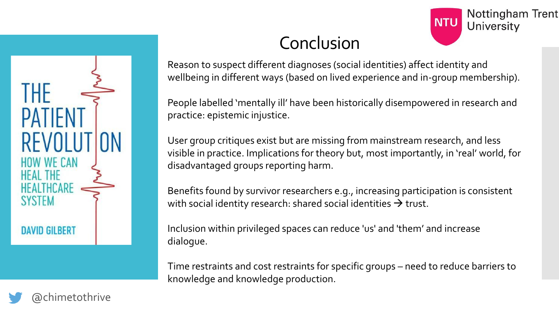

# Conclusion

Reason to suspect different diagnoses (social identities) affect identity and wellbeing in different ways (based on lived experience and in-group membership).

**Nottingham Trent** 

University

**NTU** 

People labelled 'mentally ill' have been historically disempowered in research and practice: epistemic injustice.

User group critiques exist but are missing from mainstream research, and less visible in practice. Implications for theory but, most importantly, in 'real' world, for disadvantaged groups reporting harm.

Benefits found by survivor researchers e.g., increasing participation is consistent with social identity research: shared social identities  $\rightarrow$  trust.

Inclusion within privileged spaces can reduce 'us' and 'them' and increase dialogue.

Time restraints and cost restraints for specific groups – need to reduce barriers to knowledge and knowledge production.